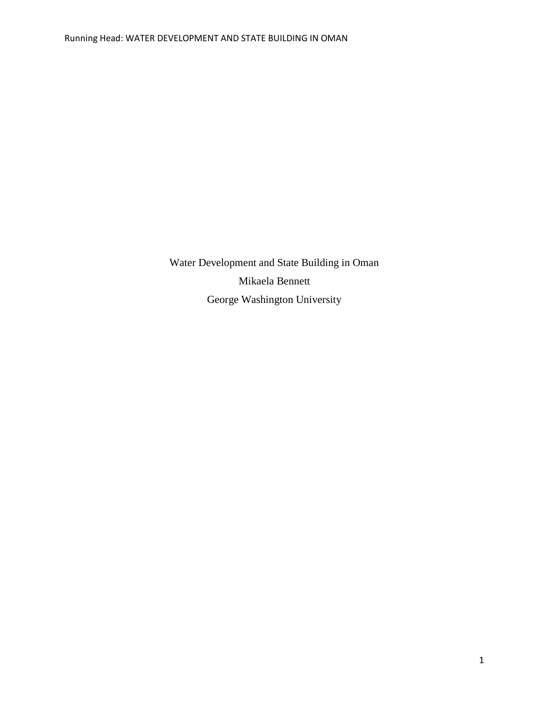Water Development and State Building in Oman Mikaela Bennett George Washington University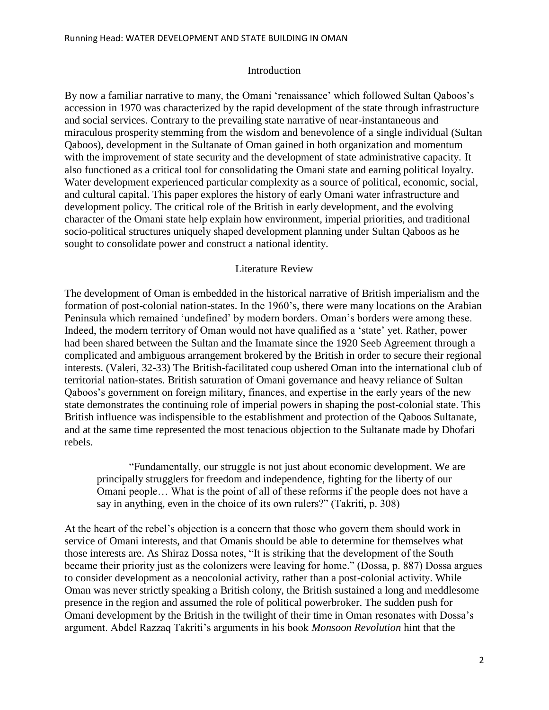#### Introduction

By now a familiar narrative to many, the Omani 'renaissance' which followed Sultan Qaboos's accession in 1970 was characterized by the rapid development of the state through infrastructure and social services. Contrary to the prevailing state narrative of near-instantaneous and miraculous prosperity stemming from the wisdom and benevolence of a single individual (Sultan Qaboos), development in the Sultanate of Oman gained in both organization and momentum with the improvement of state security and the development of state administrative capacity. It also functioned as a critical tool for consolidating the Omani state and earning political loyalty. Water development experienced particular complexity as a source of political, economic, social, and cultural capital. This paper explores the history of early Omani water infrastructure and development policy. The critical role of the British in early development, and the evolving character of the Omani state help explain how environment, imperial priorities, and traditional socio-political structures uniquely shaped development planning under Sultan Qaboos as he sought to consolidate power and construct a national identity.

#### Literature Review

The development of Oman is embedded in the historical narrative of British imperialism and the formation of post-colonial nation-states. In the 1960"s, there were many locations on the Arabian Peninsula which remained 'undefined' by modern borders. Oman's borders were among these. Indeed, the modern territory of Oman would not have qualified as a "state" yet. Rather, power had been shared between the Sultan and the Imamate since the 1920 Seeb Agreement through a complicated and ambiguous arrangement brokered by the British in order to secure their regional interests. (Valeri, 32-33) The British-facilitated coup ushered Oman into the international club of territorial nation-states. British saturation of Omani governance and heavy reliance of Sultan Qaboos"s government on foreign military, finances, and expertise in the early years of the new state demonstrates the continuing role of imperial powers in shaping the post-colonial state. This British influence was indispensible to the establishment and protection of the Qaboos Sultanate, and at the same time represented the most tenacious objection to the Sultanate made by Dhofari rebels.

"Fundamentally, our struggle is not just about economic development. We are principally strugglers for freedom and independence, fighting for the liberty of our Omani people… What is the point of all of these reforms if the people does not have a say in anything, even in the choice of its own rulers?" (Takriti, p. 308)

At the heart of the rebel"s objection is a concern that those who govern them should work in service of Omani interests, and that Omanis should be able to determine for themselves what those interests are. As Shiraz Dossa notes, "It is striking that the development of the South became their priority just as the colonizers were leaving for home." (Dossa, p. 887) Dossa argues to consider development as a neocolonial activity, rather than a post-colonial activity. While Oman was never strictly speaking a British colony, the British sustained a long and meddlesome presence in the region and assumed the role of political powerbroker. The sudden push for Omani development by the British in the twilight of their time in Oman resonates with Dossa"s argument. Abdel Razzaq Takriti"s arguments in his book *Monsoon Revolution* hint that the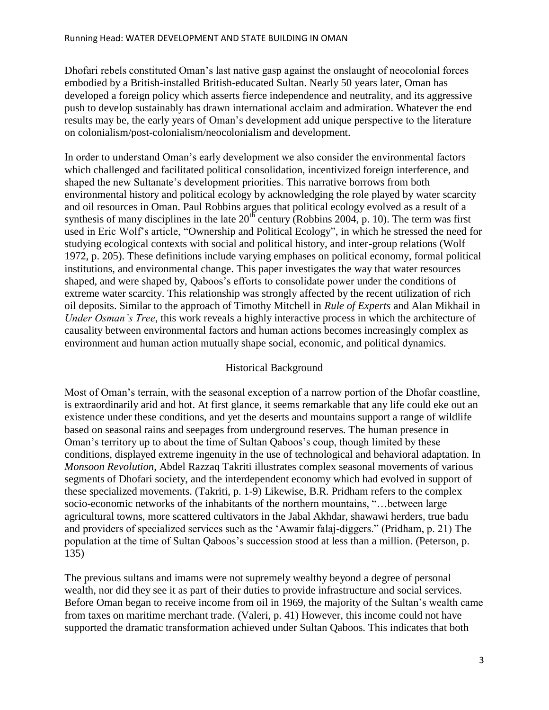Dhofari rebels constituted Oman"s last native gasp against the onslaught of neocolonial forces embodied by a British-installed British-educated Sultan. Nearly 50 years later, Oman has developed a foreign policy which asserts fierce independence and neutrality, and its aggressive push to develop sustainably has drawn international acclaim and admiration. Whatever the end results may be, the early years of Oman"s development add unique perspective to the literature on colonialism/post-colonialism/neocolonialism and development.

In order to understand Oman"s early development we also consider the environmental factors which challenged and facilitated political consolidation, incentivized foreign interference, and shaped the new Sultanate"s development priorities. This narrative borrows from both environmental history and political ecology by acknowledging the role played by water scarcity and oil resources in Oman. Paul Robbins argues that political ecology evolved as a result of a synthesis of many disciplines in the late  $20^{th}$  century (Robbins 2004, p. 10). The term was first used in Eric Wolf's article, "Ownership and Political Ecology", in which he stressed the need for studying ecological contexts with social and political history, and inter-group relations (Wolf 1972, p. 205). These definitions include varying emphases on political economy, formal political institutions, and environmental change. This paper investigates the way that water resources shaped, and were shaped by, Qaboos's efforts to consolidate power under the conditions of extreme water scarcity. This relationship was strongly affected by the recent utilization of rich oil deposits. Similar to the approach of Timothy Mitchell in *Rule of Experts* and Alan Mikhail in *Under Osman's Tree*, this work reveals a highly interactive process in which the architecture of causality between environmental factors and human actions becomes increasingly complex as environment and human action mutually shape social, economic, and political dynamics.

# Historical Background

Most of Oman"s terrain, with the seasonal exception of a narrow portion of the Dhofar coastline, is extraordinarily arid and hot. At first glance, it seems remarkable that any life could eke out an existence under these conditions, and yet the deserts and mountains support a range of wildlife based on seasonal rains and seepages from underground reserves. The human presence in Oman"s territory up to about the time of Sultan Qaboos"s coup, though limited by these conditions, displayed extreme ingenuity in the use of technological and behavioral adaptation. In *Monsoon Revolution*, Abdel Razzaq Takriti illustrates complex seasonal movements of various segments of Dhofari society, and the interdependent economy which had evolved in support of these specialized movements. (Takriti, p. 1-9) Likewise, B.R. Pridham refers to the complex socio-economic networks of the inhabitants of the northern mountains, "…between large agricultural towns, more scattered cultivators in the Jabal Akhdar, shawawi herders, true badu and providers of specialized services such as the "Awamir falaj-diggers." (Pridham, p. 21) The population at the time of Sultan Qaboos"s succession stood at less than a million. (Peterson, p. 135)

The previous sultans and imams were not supremely wealthy beyond a degree of personal wealth, nor did they see it as part of their duties to provide infrastructure and social services. Before Oman began to receive income from oil in 1969, the majority of the Sultan's wealth came from taxes on maritime merchant trade. (Valeri, p. 41) However, this income could not have supported the dramatic transformation achieved under Sultan Qaboos. This indicates that both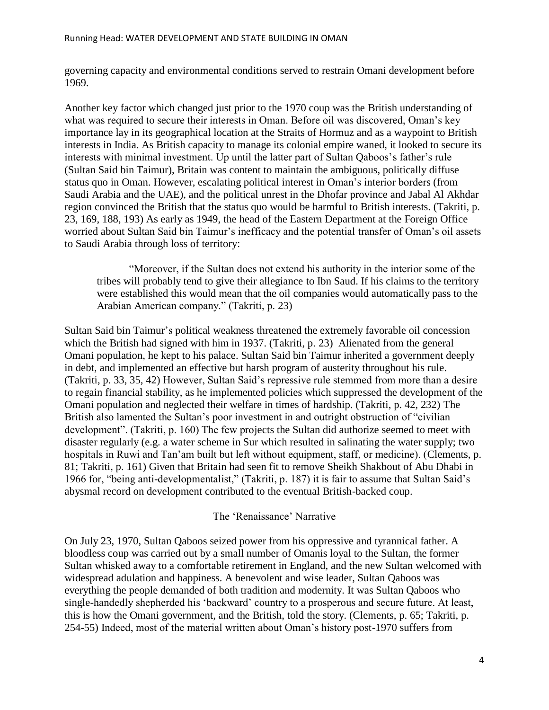governing capacity and environmental conditions served to restrain Omani development before 1969.

Another key factor which changed just prior to the 1970 coup was the British understanding of what was required to secure their interests in Oman. Before oil was discovered, Oman"s key importance lay in its geographical location at the Straits of Hormuz and as a waypoint to British interests in India. As British capacity to manage its colonial empire waned, it looked to secure its interests with minimal investment. Up until the latter part of Sultan Qaboos"s father"s rule (Sultan Said bin Taimur), Britain was content to maintain the ambiguous, politically diffuse status quo in Oman. However, escalating political interest in Oman"s interior borders (from Saudi Arabia and the UAE), and the political unrest in the Dhofar province and Jabal Al Akhdar region convinced the British that the status quo would be harmful to British interests. (Takriti, p. 23, 169, 188, 193) As early as 1949, the head of the Eastern Department at the Foreign Office worried about Sultan Said bin Taimur"s inefficacy and the potential transfer of Oman"s oil assets to Saudi Arabia through loss of territory:

"Moreover, if the Sultan does not extend his authority in the interior some of the tribes will probably tend to give their allegiance to Ibn Saud. If his claims to the territory were established this would mean that the oil companies would automatically pass to the Arabian American company." (Takriti, p. 23)

Sultan Said bin Taimur"s political weakness threatened the extremely favorable oil concession which the British had signed with him in 1937. (Takriti, p. 23) Alienated from the general Omani population, he kept to his palace. Sultan Said bin Taimur inherited a government deeply in debt, and implemented an effective but harsh program of austerity throughout his rule. (Takriti, p. 33, 35, 42) However, Sultan Said"s repressive rule stemmed from more than a desire to regain financial stability, as he implemented policies which suppressed the development of the Omani population and neglected their welfare in times of hardship. (Takriti, p. 42, 232) The British also lamented the Sultan"s poor investment in and outright obstruction of "civilian development". (Takriti, p. 160) The few projects the Sultan did authorize seemed to meet with disaster regularly (e.g. a water scheme in Sur which resulted in salinating the water supply; two hospitals in Ruwi and Tan'am built but left without equipment, staff, or medicine). (Clements, p. 81; Takriti, p. 161) Given that Britain had seen fit to remove Sheikh Shakbout of Abu Dhabi in 1966 for, "being anti-developmentalist," (Takriti, p. 187) it is fair to assume that Sultan Said"s abysmal record on development contributed to the eventual British-backed coup.

# The "Renaissance" Narrative

On July 23, 1970, Sultan Qaboos seized power from his oppressive and tyrannical father. A bloodless coup was carried out by a small number of Omanis loyal to the Sultan, the former Sultan whisked away to a comfortable retirement in England, and the new Sultan welcomed with widespread adulation and happiness. A benevolent and wise leader, Sultan Qaboos was everything the people demanded of both tradition and modernity. It was Sultan Qaboos who single-handedly shepherded his 'backward' country to a prosperous and secure future. At least, this is how the Omani government, and the British, told the story. (Clements, p. 65; Takriti, p. 254-55) Indeed, most of the material written about Oman"s history post-1970 suffers from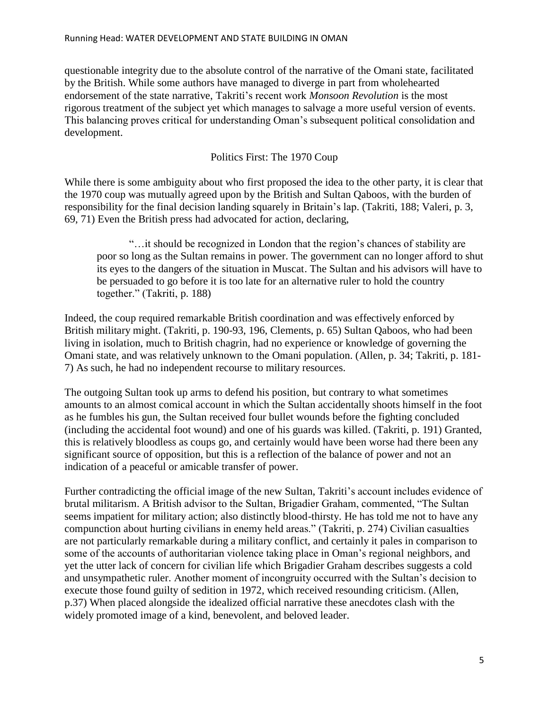questionable integrity due to the absolute control of the narrative of the Omani state, facilitated by the British. While some authors have managed to diverge in part from wholehearted endorsement of the state narrative, Takriti's recent work *Monsoon Revolution* is the most rigorous treatment of the subject yet which manages to salvage a more useful version of events. This balancing proves critical for understanding Oman"s subsequent political consolidation and development.

# Politics First: The 1970 Coup

While there is some ambiguity about who first proposed the idea to the other party, it is clear that the 1970 coup was mutually agreed upon by the British and Sultan Qaboos, with the burden of responsibility for the final decision landing squarely in Britain"s lap. (Takriti, 188; Valeri, p. 3, 69, 71) Even the British press had advocated for action, declaring,

"…it should be recognized in London that the region"s chances of stability are poor so long as the Sultan remains in power. The government can no longer afford to shut its eyes to the dangers of the situation in Muscat. The Sultan and his advisors will have to be persuaded to go before it is too late for an alternative ruler to hold the country together." (Takriti, p. 188)

Indeed, the coup required remarkable British coordination and was effectively enforced by British military might. (Takriti, p. 190-93, 196, Clements, p. 65) Sultan Qaboos, who had been living in isolation, much to British chagrin, had no experience or knowledge of governing the Omani state, and was relatively unknown to the Omani population. (Allen, p. 34; Takriti, p. 181- 7) As such, he had no independent recourse to military resources.

The outgoing Sultan took up arms to defend his position, but contrary to what sometimes amounts to an almost comical account in which the Sultan accidentally shoots himself in the foot as he fumbles his gun, the Sultan received four bullet wounds before the fighting concluded (including the accidental foot wound) and one of his guards was killed. (Takriti, p. 191) Granted, this is relatively bloodless as coups go, and certainly would have been worse had there been any significant source of opposition, but this is a reflection of the balance of power and not an indication of a peaceful or amicable transfer of power.

Further contradicting the official image of the new Sultan, Takriti's account includes evidence of brutal militarism. A British advisor to the Sultan, Brigadier Graham, commented, "The Sultan seems impatient for military action; also distinctly blood-thirsty. He has told me not to have any compunction about hurting civilians in enemy held areas." (Takriti, p. 274) Civilian casualties are not particularly remarkable during a military conflict, and certainly it pales in comparison to some of the accounts of authoritarian violence taking place in Oman"s regional neighbors, and yet the utter lack of concern for civilian life which Brigadier Graham describes suggests a cold and unsympathetic ruler. Another moment of incongruity occurred with the Sultan"s decision to execute those found guilty of sedition in 1972, which received resounding criticism. (Allen, p.37) When placed alongside the idealized official narrative these anecdotes clash with the widely promoted image of a kind, benevolent, and beloved leader.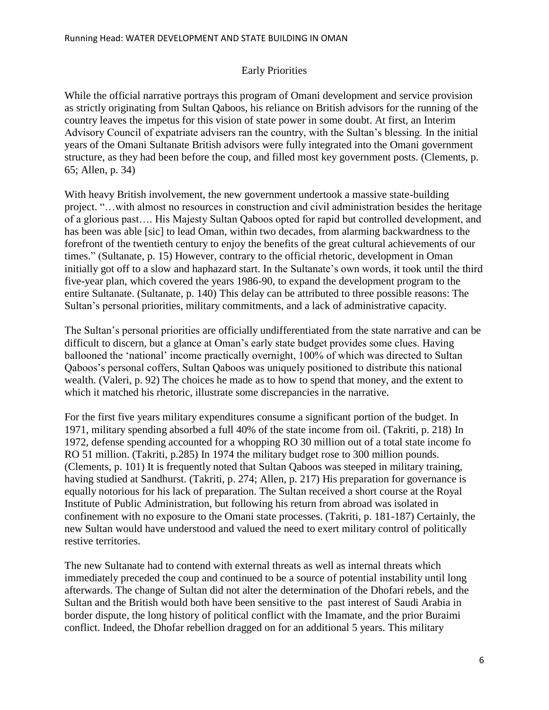# Early Priorities

While the official narrative portrays this program of Omani development and service provision as strictly originating from Sultan Qaboos, his reliance on British advisors for the running of the country leaves the impetus for this vision of state power in some doubt. At first, an Interim Advisory Council of expatriate advisers ran the country, with the Sultan"s blessing. In the initial years of the Omani Sultanate British advisors were fully integrated into the Omani government structure, as they had been before the coup, and filled most key government posts. (Clements, p. 65; Allen, p. 34)

With heavy British involvement, the new government undertook a massive state-building project. "…with almost no resources in construction and civil administration besides the heritage of a glorious past…. His Majesty Sultan Qaboos opted for rapid but controlled development, and has been was able [sic] to lead Oman, within two decades, from alarming backwardness to the forefront of the twentieth century to enjoy the benefits of the great cultural achievements of our times." (Sultanate, p. 15) However, contrary to the official rhetoric, development in Oman initially got off to a slow and haphazard start. In the Sultanate's own words, it took until the third five-year plan, which covered the years 1986-90, to expand the development program to the entire Sultanate. (Sultanate, p. 140) This delay can be attributed to three possible reasons: The Sultan"s personal priorities, military commitments, and a lack of administrative capacity.

The Sultan"s personal priorities are officially undifferentiated from the state narrative and can be difficult to discern, but a glance at Oman"s early state budget provides some clues. Having ballooned the "national" income practically overnight, 100% of which was directed to Sultan Qaboos"s personal coffers, Sultan Qaboos was uniquely positioned to distribute this national wealth. (Valeri, p. 92) The choices he made as to how to spend that money, and the extent to which it matched his rhetoric, illustrate some discrepancies in the narrative.

For the first five years military expenditures consume a significant portion of the budget. In 1971, military spending absorbed a full 40% of the state income from oil. (Takriti, p. 218) In 1972, defense spending accounted for a whopping RO 30 million out of a total state income fo RO 51 million. (Takriti, p.285) In 1974 the military budget rose to 300 million pounds. (Clements, p. 101) It is frequently noted that Sultan Qaboos was steeped in military training, having studied at Sandhurst. (Takriti, p. 274; Allen, p. 217) His preparation for governance is equally notorious for his lack of preparation. The Sultan received a short course at the Royal Institute of Public Administration, but following his return from abroad was isolated in confinement with no exposure to the Omani state processes. (Takriti, p. 181-187) Certainly, the new Sultan would have understood and valued the need to exert military control of politically restive territories.

The new Sultanate had to contend with external threats as well as internal threats which immediately preceded the coup and continued to be a source of potential instability until long afterwards. The change of Sultan did not alter the determination of the Dhofari rebels, and the Sultan and the British would both have been sensitive to the past interest of Saudi Arabia in border dispute, the long history of political conflict with the Imamate, and the prior Buraimi conflict. Indeed, the Dhofar rebellion dragged on for an additional 5 years. This military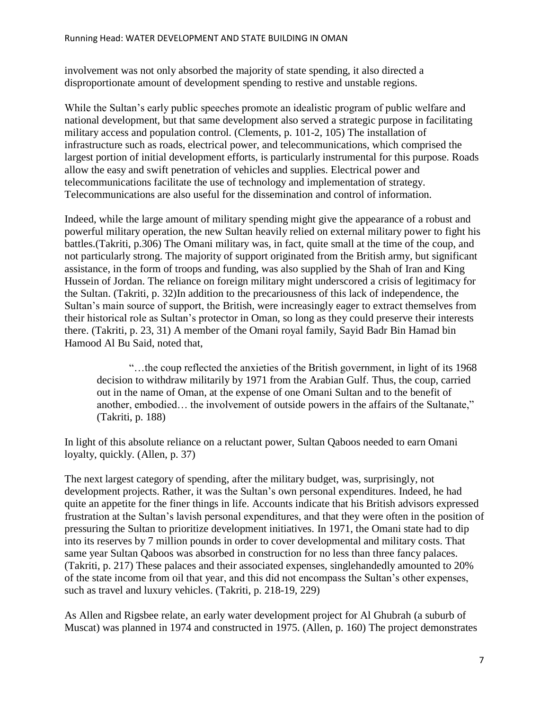involvement was not only absorbed the majority of state spending, it also directed a disproportionate amount of development spending to restive and unstable regions.

While the Sultan's early public speeches promote an idealistic program of public welfare and national development, but that same development also served a strategic purpose in facilitating military access and population control. (Clements, p. 101-2, 105) The installation of infrastructure such as roads, electrical power, and telecommunications, which comprised the largest portion of initial development efforts, is particularly instrumental for this purpose. Roads allow the easy and swift penetration of vehicles and supplies. Electrical power and telecommunications facilitate the use of technology and implementation of strategy. Telecommunications are also useful for the dissemination and control of information.

Indeed, while the large amount of military spending might give the appearance of a robust and powerful military operation, the new Sultan heavily relied on external military power to fight his battles.(Takriti, p.306) The Omani military was, in fact, quite small at the time of the coup, and not particularly strong. The majority of support originated from the British army, but significant assistance, in the form of troops and funding, was also supplied by the Shah of Iran and King Hussein of Jordan. The reliance on foreign military might underscored a crisis of legitimacy for the Sultan. (Takriti, p. 32)In addition to the precariousness of this lack of independence, the Sultan"s main source of support, the British, were increasingly eager to extract themselves from their historical role as Sultan"s protector in Oman, so long as they could preserve their interests there. (Takriti, p. 23, 31) A member of the Omani royal family, Sayid Badr Bin Hamad bin Hamood Al Bu Said, noted that,

"…the coup reflected the anxieties of the British government, in light of its 1968 decision to withdraw militarily by 1971 from the Arabian Gulf. Thus, the coup, carried out in the name of Oman, at the expense of one Omani Sultan and to the benefit of another, embodied… the involvement of outside powers in the affairs of the Sultanate," (Takriti, p. 188)

In light of this absolute reliance on a reluctant power, Sultan Qaboos needed to earn Omani loyalty, quickly. (Allen, p. 37)

The next largest category of spending, after the military budget, was, surprisingly, not development projects. Rather, it was the Sultan"s own personal expenditures. Indeed, he had quite an appetite for the finer things in life. Accounts indicate that his British advisors expressed frustration at the Sultan"s lavish personal expenditures, and that they were often in the position of pressuring the Sultan to prioritize development initiatives. In 1971, the Omani state had to dip into its reserves by 7 million pounds in order to cover developmental and military costs. That same year Sultan Qaboos was absorbed in construction for no less than three fancy palaces. (Takriti, p. 217) These palaces and their associated expenses, singlehandedly amounted to 20% of the state income from oil that year, and this did not encompass the Sultan"s other expenses, such as travel and luxury vehicles. (Takriti, p. 218-19, 229)

As Allen and Rigsbee relate, an early water development project for Al Ghubrah (a suburb of Muscat) was planned in 1974 and constructed in 1975. (Allen, p. 160) The project demonstrates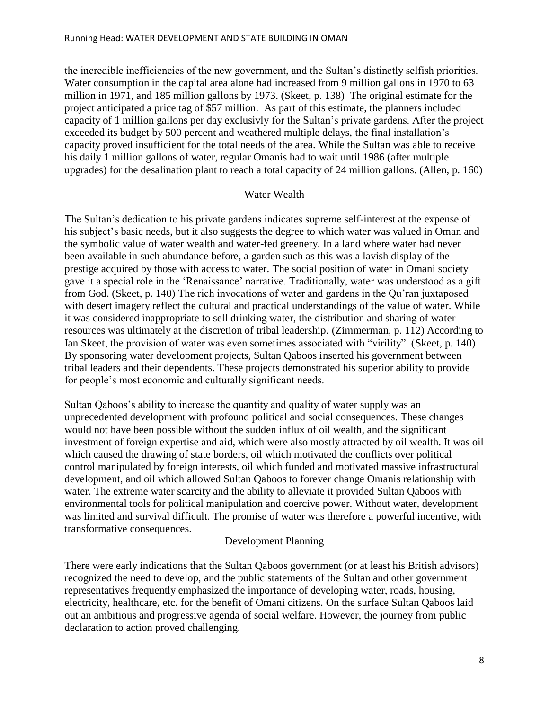the incredible inefficiencies of the new government, and the Sultan"s distinctly selfish priorities. Water consumption in the capital area alone had increased from 9 million gallons in 1970 to 63 million in 1971, and 185 million gallons by 1973. (Skeet, p. 138) The original estimate for the project anticipated a price tag of \$57 million. As part of this estimate, the planners included capacity of 1 million gallons per day exclusivly for the Sultan"s private gardens. After the project exceeded its budget by 500 percent and weathered multiple delays, the final installation"s capacity proved insufficient for the total needs of the area. While the Sultan was able to receive his daily 1 million gallons of water, regular Omanis had to wait until 1986 (after multiple upgrades) for the desalination plant to reach a total capacity of 24 million gallons. (Allen, p. 160)

#### Water Wealth

The Sultan"s dedication to his private gardens indicates supreme self-interest at the expense of his subject's basic needs, but it also suggests the degree to which water was valued in Oman and the symbolic value of water wealth and water-fed greenery. In a land where water had never been available in such abundance before, a garden such as this was a lavish display of the prestige acquired by those with access to water. The social position of water in Omani society gave it a special role in the "Renaissance" narrative. Traditionally, water was understood as a gift from God. (Skeet, p. 140) The rich invocations of water and gardens in the Qu"ran juxtaposed with desert imagery reflect the cultural and practical understandings of the value of water. While it was considered inappropriate to sell drinking water, the distribution and sharing of water resources was ultimately at the discretion of tribal leadership. (Zimmerman, p. 112) According to Ian Skeet, the provision of water was even sometimes associated with "virility". (Skeet, p. 140) By sponsoring water development projects, Sultan Qaboos inserted his government between tribal leaders and their dependents. These projects demonstrated his superior ability to provide for people"s most economic and culturally significant needs.

Sultan Qaboos"s ability to increase the quantity and quality of water supply was an unprecedented development with profound political and social consequences. These changes would not have been possible without the sudden influx of oil wealth, and the significant investment of foreign expertise and aid, which were also mostly attracted by oil wealth. It was oil which caused the drawing of state borders, oil which motivated the conflicts over political control manipulated by foreign interests, oil which funded and motivated massive infrastructural development, and oil which allowed Sultan Qaboos to forever change Omanis relationship with water. The extreme water scarcity and the ability to alleviate it provided Sultan Qaboos with environmental tools for political manipulation and coercive power. Without water, development was limited and survival difficult. The promise of water was therefore a powerful incentive, with transformative consequences.

# Development Planning

There were early indications that the Sultan Qaboos government (or at least his British advisors) recognized the need to develop, and the public statements of the Sultan and other government representatives frequently emphasized the importance of developing water, roads, housing, electricity, healthcare, etc. for the benefit of Omani citizens. On the surface Sultan Qaboos laid out an ambitious and progressive agenda of social welfare. However, the journey from public declaration to action proved challenging.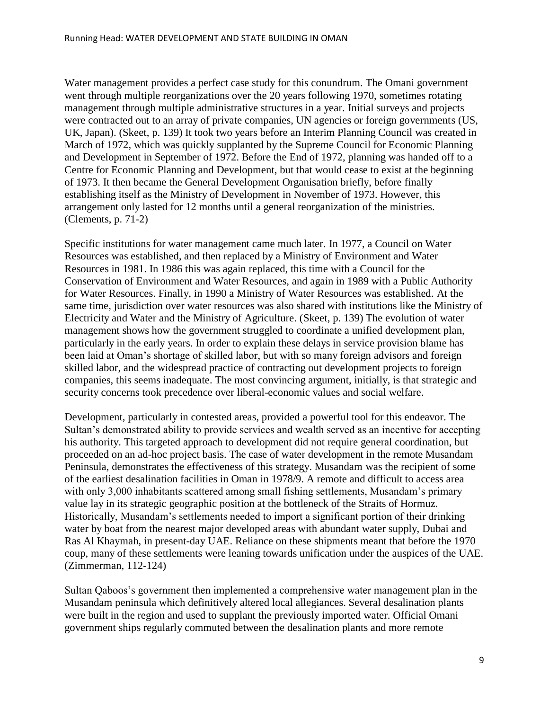Water management provides a perfect case study for this conundrum. The Omani government went through multiple reorganizations over the 20 years following 1970, sometimes rotating management through multiple administrative structures in a year. Initial surveys and projects were contracted out to an array of private companies, UN agencies or foreign governments (US, UK, Japan). (Skeet, p. 139) It took two years before an Interim Planning Council was created in March of 1972, which was quickly supplanted by the Supreme Council for Economic Planning and Development in September of 1972. Before the End of 1972, planning was handed off to a Centre for Economic Planning and Development, but that would cease to exist at the beginning of 1973. It then became the General Development Organisation briefly, before finally establishing itself as the Ministry of Development in November of 1973. However, this arrangement only lasted for 12 months until a general reorganization of the ministries. (Clements, p. 71-2)

Specific institutions for water management came much later. In 1977, a Council on Water Resources was established, and then replaced by a Ministry of Environment and Water Resources in 1981. In 1986 this was again replaced, this time with a Council for the Conservation of Environment and Water Resources, and again in 1989 with a Public Authority for Water Resources. Finally, in 1990 a Ministry of Water Resources was established. At the same time, jurisdiction over water resources was also shared with institutions like the Ministry of Electricity and Water and the Ministry of Agriculture. (Skeet, p. 139) The evolution of water management shows how the government struggled to coordinate a unified development plan, particularly in the early years. In order to explain these delays in service provision blame has been laid at Oman"s shortage of skilled labor, but with so many foreign advisors and foreign skilled labor, and the widespread practice of contracting out development projects to foreign companies, this seems inadequate. The most convincing argument, initially, is that strategic and security concerns took precedence over liberal-economic values and social welfare.

Development, particularly in contested areas, provided a powerful tool for this endeavor. The Sultan"s demonstrated ability to provide services and wealth served as an incentive for accepting his authority. This targeted approach to development did not require general coordination, but proceeded on an ad-hoc project basis. The case of water development in the remote Musandam Peninsula, demonstrates the effectiveness of this strategy. Musandam was the recipient of some of the earliest desalination facilities in Oman in 1978/9. A remote and difficult to access area with only 3,000 inhabitants scattered among small fishing settlements, Musandam's primary value lay in its strategic geographic position at the bottleneck of the Straits of Hormuz. Historically, Musandam"s settlements needed to import a significant portion of their drinking water by boat from the nearest major developed areas with abundant water supply, Dubai and Ras Al Khaymah, in present-day UAE. Reliance on these shipments meant that before the 1970 coup, many of these settlements were leaning towards unification under the auspices of the UAE. (Zimmerman, 112-124)

Sultan Qaboos"s government then implemented a comprehensive water management plan in the Musandam peninsula which definitively altered local allegiances. Several desalination plants were built in the region and used to supplant the previously imported water. Official Omani government ships regularly commuted between the desalination plants and more remote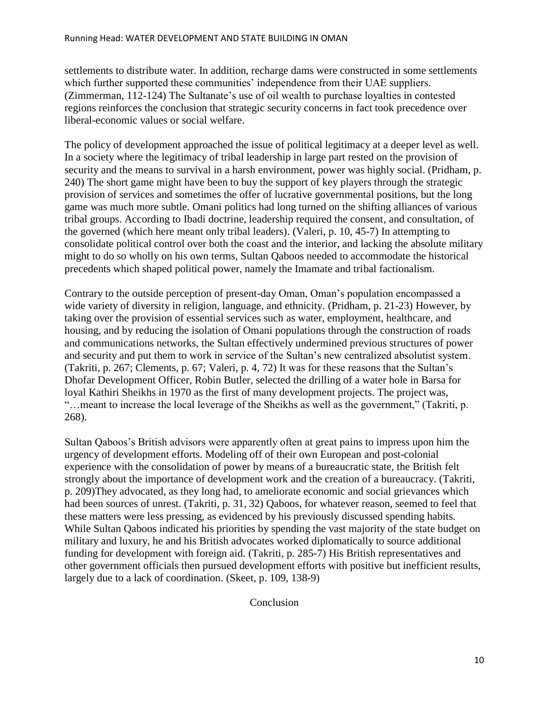settlements to distribute water. In addition, recharge dams were constructed in some settlements which further supported these communities' independence from their UAE suppliers. (Zimmerman, 112-124) The Sultanate"s use of oil wealth to purchase loyalties in contested regions reinforces the conclusion that strategic security concerns in fact took precedence over liberal-economic values or social welfare.

The policy of development approached the issue of political legitimacy at a deeper level as well. In a society where the legitimacy of tribal leadership in large part rested on the provision of security and the means to survival in a harsh environment, power was highly social. (Pridham, p. 240) The short game might have been to buy the support of key players through the strategic provision of services and sometimes the offer of lucrative governmental positions, but the long game was much more subtle. Omani politics had long turned on the shifting alliances of various tribal groups. According to Ibadi doctrine, leadership required the consent, and consultation, of the governed (which here meant only tribal leaders). (Valeri, p. 10, 45-7) In attempting to consolidate political control over both the coast and the interior, and lacking the absolute military might to do so wholly on his own terms, Sultan Qaboos needed to accommodate the historical precedents which shaped political power, namely the Imamate and tribal factionalism.

Contrary to the outside perception of present-day Oman, Oman"s population encompassed a wide variety of diversity in religion, language, and ethnicity. (Pridham, p. 21-23) However, by taking over the provision of essential services such as water, employment, healthcare, and housing, and by reducing the isolation of Omani populations through the construction of roads and communications networks, the Sultan effectively undermined previous structures of power and security and put them to work in service of the Sultan"s new centralized absolutist system. (Takriti, p. 267; Clements, p. 67; Valeri, p. 4, 72) It was for these reasons that the Sultan"s Dhofar Development Officer, Robin Butler, selected the drilling of a water hole in Barsa for loyal Kathiri Sheikhs in 1970 as the first of many development projects. The project was, "…meant to increase the local leverage of the Sheikhs as well as the government," (Takriti, p. 268).

Sultan Qaboos"s British advisors were apparently often at great pains to impress upon him the urgency of development efforts. Modeling off of their own European and post-colonial experience with the consolidation of power by means of a bureaucratic state, the British felt strongly about the importance of development work and the creation of a bureaucracy. (Takriti, p. 209)They advocated, as they long had, to ameliorate economic and social grievances which had been sources of unrest. (Takriti, p. 31, 32) Qaboos, for whatever reason, seemed to feel that these matters were less pressing, as evidenced by his previously discussed spending habits. While Sultan Qaboos indicated his priorities by spending the vast majority of the state budget on military and luxury, he and his British advocates worked diplomatically to source additional funding for development with foreign aid. (Takriti, p. 285-7) His British representatives and other government officials then pursued development efforts with positive but inefficient results, largely due to a lack of coordination. (Skeet, p. 109, 138-9)

Conclusion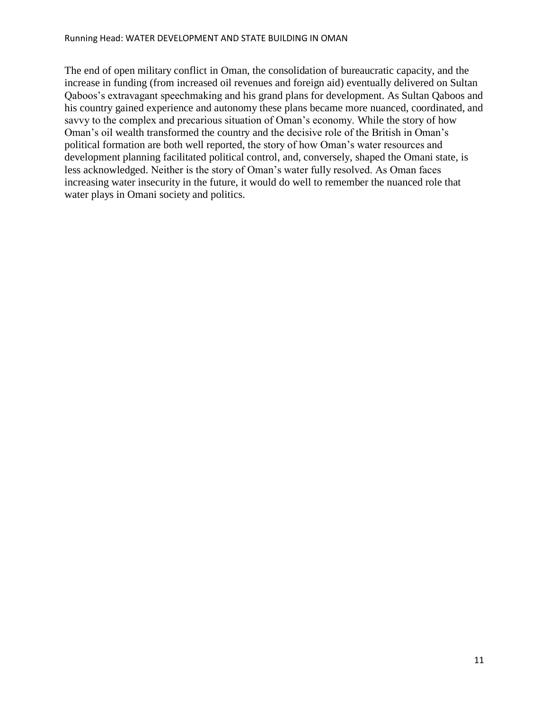The end of open military conflict in Oman, the consolidation of bureaucratic capacity, and the increase in funding (from increased oil revenues and foreign aid) eventually delivered on Sultan Qaboos"s extravagant speechmaking and his grand plans for development. As Sultan Qaboos and his country gained experience and autonomy these plans became more nuanced, coordinated, and savvy to the complex and precarious situation of Oman's economy. While the story of how Oman"s oil wealth transformed the country and the decisive role of the British in Oman"s political formation are both well reported, the story of how Oman"s water resources and development planning facilitated political control, and, conversely, shaped the Omani state, is less acknowledged. Neither is the story of Oman"s water fully resolved. As Oman faces increasing water insecurity in the future, it would do well to remember the nuanced role that water plays in Omani society and politics.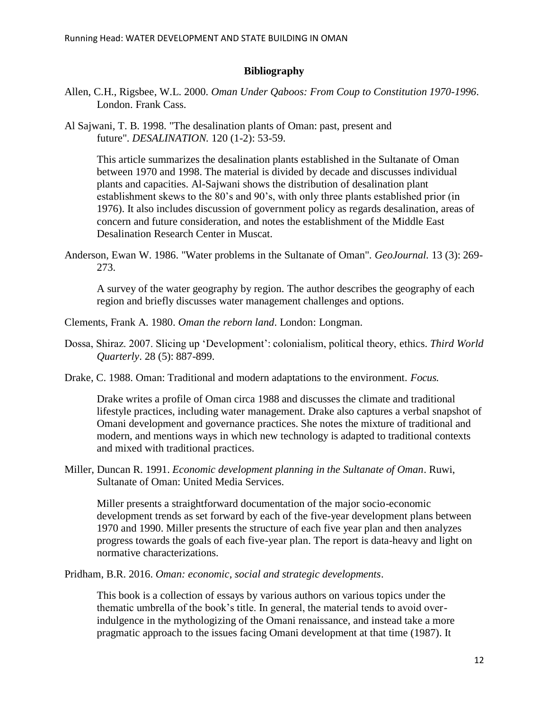#### **Bibliography**

- Allen, C.H., Rigsbee, W.L. 2000. *Oman Under Qaboos: From Coup to Constitution 1970-1996*. London. Frank Cass.
- Al Sajwani, T. B. 1998. "The desalination plants of Oman: past, present and future". *DESALINATION.* 120 (1-2): 53-59.

This article summarizes the desalination plants established in the Sultanate of Oman between 1970 and 1998. The material is divided by decade and discusses individual plants and capacities. Al-Sajwani shows the distribution of desalination plant establishment skews to the 80's and 90's, with only three plants established prior (in 1976). It also includes discussion of government policy as regards desalination, areas of concern and future consideration, and notes the establishment of the Middle East Desalination Research Center in Muscat.

Anderson, Ewan W. 1986. "Water problems in the Sultanate of Oman". *GeoJournal.* 13 (3): 269- 273.

A survey of the water geography by region. The author describes the geography of each region and briefly discusses water management challenges and options.

- Clements, Frank A. 1980. *Oman the reborn land*. London: Longman.
- Dossa, Shiraz. 2007. Slicing up 'Development': colonialism, political theory, ethics. *Third World Quarterly*. 28 (5): 887-899.
- Drake, C. 1988. Oman: Traditional and modern adaptations to the environment. *Focus.*

Drake writes a profile of Oman circa 1988 and discusses the climate and traditional lifestyle practices, including water management. Drake also captures a verbal snapshot of Omani development and governance practices. She notes the mixture of traditional and modern, and mentions ways in which new technology is adapted to traditional contexts and mixed with traditional practices.

Miller, Duncan R. 1991. *Economic development planning in the Sultanate of Oman*. Ruwi, Sultanate of Oman: United Media Services.

Miller presents a straightforward documentation of the major socio-economic development trends as set forward by each of the five-year development plans between 1970 and 1990. Miller presents the structure of each five year plan and then analyzes progress towards the goals of each five-year plan. The report is data-heavy and light on normative characterizations.

Pridham, B.R. 2016. *Oman: economic, social and strategic developments*.

This book is a collection of essays by various authors on various topics under the thematic umbrella of the book"s title. In general, the material tends to avoid overindulgence in the mythologizing of the Omani renaissance, and instead take a more pragmatic approach to the issues facing Omani development at that time (1987). It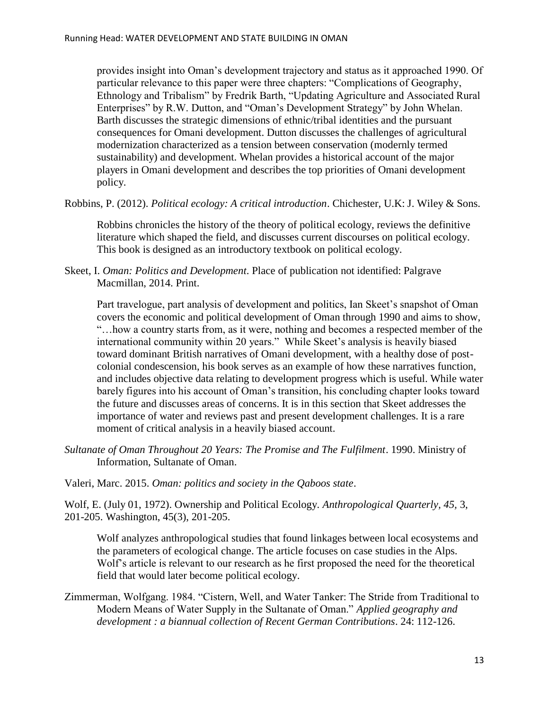provides insight into Oman"s development trajectory and status as it approached 1990. Of particular relevance to this paper were three chapters: "Complications of Geography, Ethnology and Tribalism" by Fredrik Barth, "Updating Agriculture and Associated Rural Enterprises" by R.W. Dutton, and "Oman"s Development Strategy" by John Whelan. Barth discusses the strategic dimensions of ethnic/tribal identities and the pursuant consequences for Omani development. Dutton discusses the challenges of agricultural modernization characterized as a tension between conservation (modernly termed sustainability) and development. Whelan provides a historical account of the major players in Omani development and describes the top priorities of Omani development policy.

Robbins, P. (2012). *Political ecology: A critical introduction*. Chichester, U.K: J. Wiley & Sons.

Robbins chronicles the history of the theory of political ecology, reviews the definitive literature which shaped the field, and discusses current discourses on political ecology. This book is designed as an introductory textbook on political ecology.

Skeet, I. *Oman: Politics and Development*. Place of publication not identified: Palgrave Macmillan, 2014. Print.

Part travelogue, part analysis of development and politics, Ian Skeet's snapshot of Oman covers the economic and political development of Oman through 1990 and aims to show, "…how a country starts from, as it were, nothing and becomes a respected member of the international community within 20 years." While Skeet"s analysis is heavily biased toward dominant British narratives of Omani development, with a healthy dose of postcolonial condescension, his book serves as an example of how these narratives function, and includes objective data relating to development progress which is useful. While water barely figures into his account of Oman"s transition, his concluding chapter looks toward the future and discusses areas of concerns. It is in this section that Skeet addresses the importance of water and reviews past and present development challenges. It is a rare moment of critical analysis in a heavily biased account.

*Sultanate of Oman Throughout 20 Years: The Promise and The Fulfilment*. 1990. Ministry of Information, Sultanate of Oman.

Valeri, Marc. 2015. *Oman: politics and society in the Qaboos state*.

Wolf, E. (July 01, 1972). Ownership and Political Ecology. *Anthropological Quarterly, 45,* 3, 201-205. Washington, 45(3), 201-205.

Wolf analyzes anthropological studies that found linkages between local ecosystems and the parameters of ecological change. The article focuses on case studies in the Alps. Wolf"s article is relevant to our research as he first proposed the need for the theoretical field that would later become political ecology.

Zimmerman, Wolfgang. 1984. "Cistern, Well, and Water Tanker: The Stride from Traditional to Modern Means of Water Supply in the Sultanate of Oman." *Applied geography and development : a biannual collection of Recent German Contributions*. 24: 112-126.